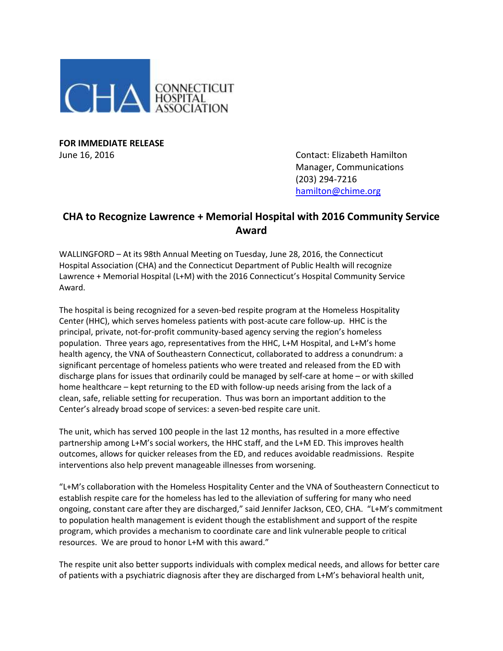

**FOR IMMEDIATE RELEASE**

June 16, 2016 Contact: Elizabeth Hamilton Manager, Communications (203) 294-7216 [hamilton@chime.org](mailto:hamilton@chime.org)

## **CHA to Recognize Lawrence + Memorial Hospital with 2016 Community Service Award**

WALLINGFORD – At its 98th Annual Meeting on Tuesday, June 28, 2016, the Connecticut Hospital Association (CHA) and the Connecticut Department of Public Health will recognize Lawrence + Memorial Hospital (L+M) with the 2016 Connecticut's Hospital Community Service Award.

The hospital is being recognized for a seven-bed respite program at the Homeless Hospitality Center (HHC), which serves homeless patients with post-acute care follow-up. HHC is the principal, private, not-for-profit community-based agency serving the region's homeless population. Three years ago, representatives from the HHC, L+M Hospital, and L+M's home health agency, the VNA of Southeastern Connecticut, collaborated to address a conundrum: a significant percentage of homeless patients who were treated and released from the ED with discharge plans for issues that ordinarily could be managed by self-care at home – or with skilled home healthcare – kept returning to the ED with follow-up needs arising from the lack of a clean, safe, reliable setting for recuperation. Thus was born an important addition to the Center's already broad scope of services: a seven-bed respite care unit.

The unit, which has served 100 people in the last 12 months, has resulted in a more effective partnership among L+M's social workers, the HHC staff, and the L+M ED. This improves health outcomes, allows for quicker releases from the ED, and reduces avoidable readmissions. Respite interventions also help prevent manageable illnesses from worsening.

"L+M's collaboration with the Homeless Hospitality Center and the VNA of Southeastern Connecticut to establish respite care for the homeless has led to the alleviation of suffering for many who need ongoing, constant care after they are discharged," said Jennifer Jackson, CEO, CHA. "L+M's commitment to population health management is evident though the establishment and support of the respite program, which provides a mechanism to coordinate care and link vulnerable people to critical resources. We are proud to honor L+M with this award."

The respite unit also better supports individuals with complex medical needs, and allows for better care of patients with a psychiatric diagnosis after they are discharged from L+M's behavioral health unit,